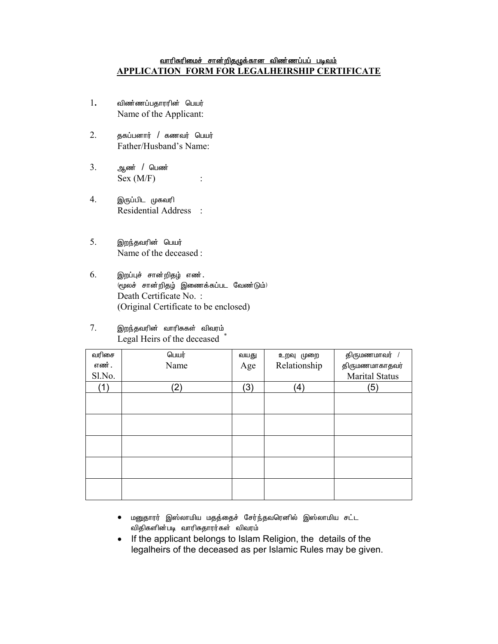## <u>வாரிசுரிமைச் சான்றிதழுக்கான விண்ணப்பப் படிவம்</u> **APPLICATION FORM FOR LEGALHEIRSHIP CERTIFICATE**

- 1**.** விண்ணப்பதாரரின் பெயர் Name of the Applicant:
- $2.$  சூகப்பனார் / கணவர் பெயர் Father/Husband's Name:
- 3. ஆண் / பெண்  $Sex(M/F)$  :
- 4. இருப்பிட முகவரி Residential Address :
- 5. இறந்தவரின் பெயர் Name of the deceased :
- $6.$  இறப்புச் சான்றிதழ் எண ்.  $($ மூலச் சான்றிதழ் இணைக்கப்பட வேண்டும் $)$  Death Certificate No. : (Original Certificate to be enclosed)
- $7.$  இறந்தவரின் வாரிசுகள் விவரம் Legal Heirs of the deceased \*

| வரிசை  | பெயர் | வயது | உறவு முறை    | திருமணமாவர் /         |
|--------|-------|------|--------------|-----------------------|
| எண்.   | Name  | Age  | Relationship | திருமணமாகாதவர்        |
| Sl.No. |       |      |              | <b>Marital Status</b> |
| (1)    | (2)   | (3)  | (4)          | 5)                    |
|        |       |      |              |                       |
|        |       |      |              |                       |
|        |       |      |              |                       |
|        |       |      |              |                       |
|        |       |      |              |                       |
|        |       |      |              |                       |
|        |       |      |              |                       |
|        |       |      |              |                       |
|        |       |      |              |                       |
|        |       |      |              |                       |

- $\bullet$  மனுதாரர் இஸ்லாமிய மதத்தைச் சேர்ந்தவரெனில் இஸ்லாமிய சட்ட விதிகளின்படி வாரிசுதாரர்கள் விவரம்
- If the applicant belongs to Islam Religion, the details of the legalheirs of the deceased as per Islamic Rules may be given.